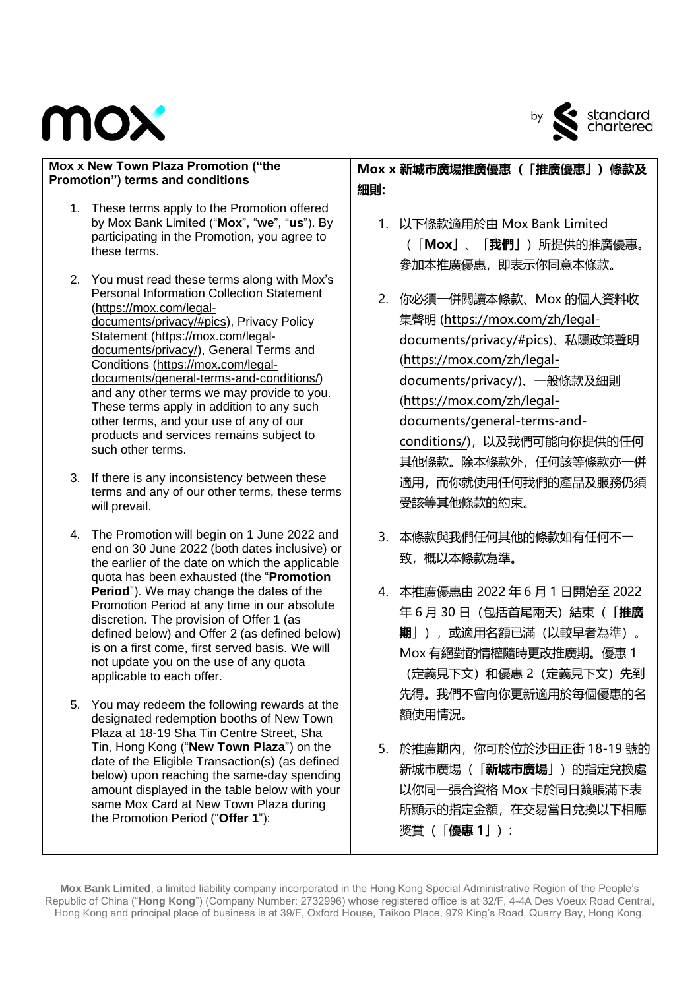



- 1. These terms apply to the Promotion offered by Mox Bank Limited ("**Mox**", "**we**", "**us**"). By participating in the Promotion, you agree to these terms.
- 2. You must read these terms along with Mox's Personal Information Collection Statement [\(https://mox.com/legal](https://mox.com/legal-documents/privacy/#pics)[documents/privacy/#pics\)](https://mox.com/legal-documents/privacy/#pics), Privacy Policy Statement [\(https://mox.com/legal](https://mox.com/legal-documents/privacy/)[documents/privacy/\)](https://mox.com/legal-documents/privacy/), General Terms and Conditions [\(https://mox.com/legal](https://mox.com/legal-documents/general-terms-and-conditions/)[documents/general-terms-and-conditions/\)](https://mox.com/legal-documents/general-terms-and-conditions/) and any other terms we may provide to you. These terms apply in addition to any such other terms, and your use of any of our products and services remains subject to such other terms.
- 3. If there is any inconsistency between these terms and any of our other terms, these terms will prevail.
- 4. The Promotion will begin on 1 June 2022 and end on 30 June 2022 (both dates inclusive) or the earlier of the date on which the applicable quota has been exhausted (the "**Promotion Period**"). We may change the dates of the Promotion Period at any time in our absolute discretion. The provision of Offer 1 (as defined below) and Offer 2 (as defined below) is on a first come, first served basis. We will not update you on the use of any quota applicable to each offer.
- 5. You may redeem the following rewards at the designated redemption booths of New Town Plaza at 18-19 Sha Tin Centre Street, Sha Tin, Hong Kong ("**New Town Plaza**") on the date of the Eligible Transaction(s) (as defined below) upon reaching the same-day spending amount displayed in the table below with your same Mox Card at New Town Plaza during the Promotion Period ("**Offer 1**"):

**Mox x 新城市廣場推廣優惠(「推廣優惠」)條款及 細則:**

- 1. 以下條款適用於由 Mox Bank Limited (「**Mox**」、「**我們**」)所提供的推廣優惠。 參加本推廣優惠,即表示你同意本條款。
- 2. 你必須一併閱讀本條款、Mox 的個人資料收 集聲明 [\(https://mox.com/zh/legal](https://mox.com/zh/legal-documents/privacy/#pics)[documents/privacy/#pics\)](https://mox.com/zh/legal-documents/privacy/#pics)、私隱政策聲明 [\(https://mox.com/zh/legal](https://mox.com/zh/legal-documents/privacy/)[documents/privacy/\)](https://mox.com/zh/legal-documents/privacy/)、一般條款及細則 [\(https://mox.com/zh/legal](https://mox.com/zh/legal-documents/general-terms-and-conditions/)[documents/general-terms-and](https://mox.com/zh/legal-documents/general-terms-and-conditions/)[conditions/\)](https://mox.com/zh/legal-documents/general-terms-and-conditions/),以及我們可能向你提供的任何 其他條款。除本條款外,任何該等條款亦一併 適用,而你就使用任何我們的產品及服務仍須 受該等其他條款的約束。
- 3. 本條款與我們任何其他的條款如有任何不一 致, 概以本條款為準。
- 4. 本推廣優惠由 2022 年 6 月 1 日開始至 2022 年 6 月 30 日(包括首尾兩天)結束(「**推廣 期**」),或適用名額已滿(以較早者為準)。 Mox 有絕對酌情權隨時更改推廣期。優惠 1 (定義見下文)和優惠 2(定義見下文)先到 先得。我們不會向你更新適用於每個優惠的名 額使用情況。
- 5. 於推廣期內,你可於位於沙田正街 18-19 號的 新城市廣場(「**新城市廣場**」)的指定兌換處 以你同一張合資格 Mox 卡於同日簽賬滿下表 所顯示的指定金額,在交易當日兌換以下相應 獎賞(「**優惠 1**」):

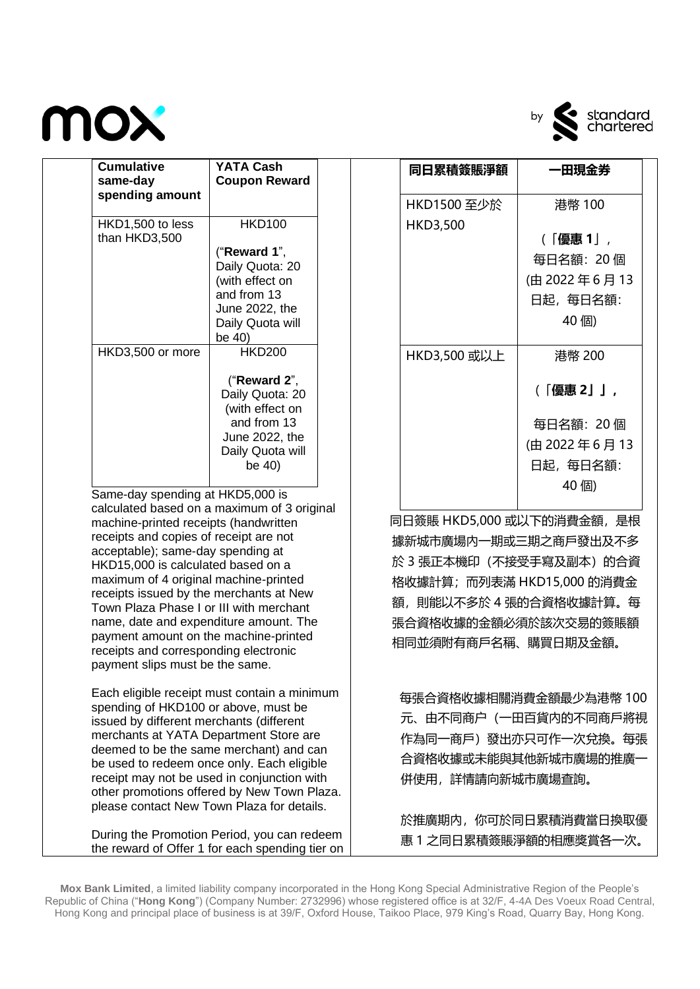



| <b>Cumulative</b><br>same-day<br>spending amount | <b>YATA Cash</b><br><b>Coupon Reward</b>                                                                                                        |
|--------------------------------------------------|-------------------------------------------------------------------------------------------------------------------------------------------------|
| HKD1,500 to less<br>than HKD3,500                | <b>HKD100</b><br>("Reward 1",<br>Daily Quota: 20<br>(with effect on<br>and from 13<br>June 2022, the<br>Daily Quota will                        |
| HKD3,500 or more                                 | be 40)<br><b>HKD200</b><br>("Reward $2$ ",<br>Daily Quota: 20<br>(with effect on<br>and from 13<br>June 2022, the<br>Daily Quota will<br>be 40) |

calculated based on a maximum of 3 original machine-printed receipts (handwritten receipts and copies of receipt are not acceptable); same-day spending at HKD15,000 is calculated based on a maximum of 4 original machine-printed receipts issued by the merchants at New Town Plaza Phase I or III with merchant name, date and expenditure amount. The payment amount on the machine-printed receipts and corresponding electronic payment slips must be the same.

Each eligible receipt must contain a minimum spending of HKD100 or above, must be issued by different merchants (different merchants at YATA Department Store are deemed to be the same merchant) and can be used to redeem once only. Each eligible receipt may not be used in conjunction with other promotions offered by New Town Plaza. please contact New Town Plaza for details.

During the Promotion Period, you can redeem the reward of Offer 1 for each spending tier on

| 同日累積簽賬淨額     | 一田現金券                                                    |
|--------------|----------------------------------------------------------|
| HKD1500 至少於  | 港幣 100                                                   |
| HKD3,500     | (「優惠1 ,<br>每日名額:20 個<br>(由 2022年6月13<br>日起,每日名額:<br>40個) |
| HKD3,500 或以上 | 港幣 200<br>(「優惠 2」」,                                      |
|              | 每日名額:20 個<br>(由 2022年6月13<br>日起,每日名額:<br>40 個)           |

 同日簽賬 HKD5,000 或以下的消費金額,是根 據新城市廣場內一期或三期之商戶發出及不多 於 3 張正本機印(不接受手寫及副本)的合資 格收據計算;而列表滿 HKD15,000 的消費金 額,則能以不多於 4 張的合資格收據計算。每 張合資格收據的金額必須於該次交易的簽賬額 相同並須附有商戶名稱、購買日期及金額。

 每張合資格收據相關消費金額最少為港幣 100 元、由不同商户(一田百貨內的不同商戶將視 作為同一商戶)發出亦只可作一次兌換。每張 合資格收據或未能與其他新城市廣場的推廣一 併使用,詳情請向新城市廣場查詢。

於推廣期內,你可於同日累積消費當日換取優 惠 1 之同日累積簽賬淨額的相應獎賞各一次。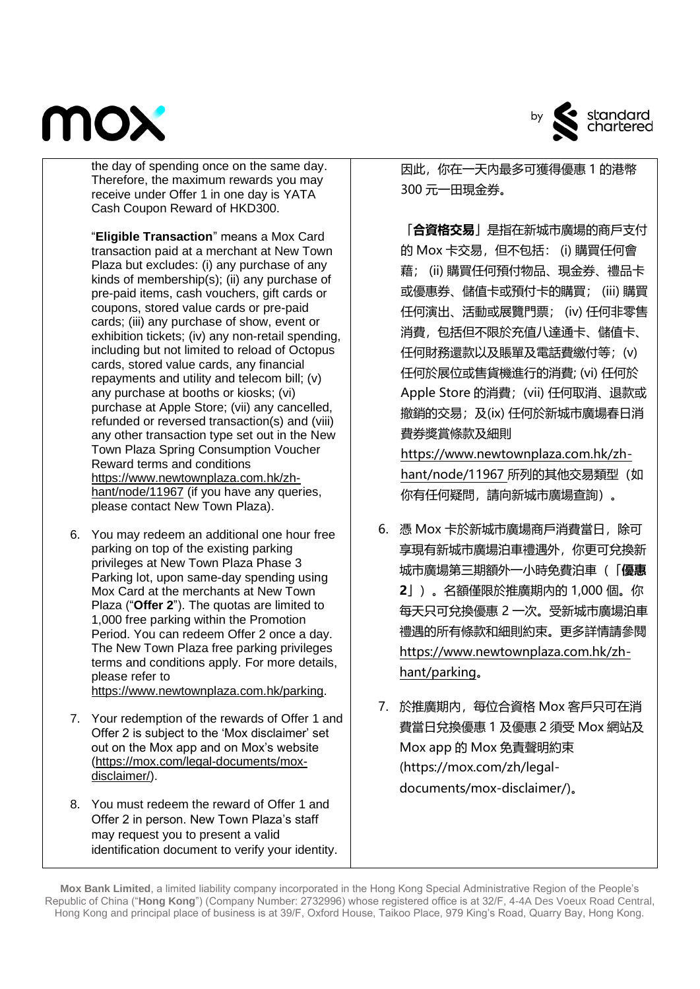

the day of spending once on the same day. Therefore, the maximum rewards you may receive under Offer 1 in one day is YATA Cash Coupon Reward of HKD300.

"**Eligible Transaction**" means a Mox Card transaction paid at a merchant at New Town Plaza but excludes: (i) any purchase of any kinds of membership(s); (ii) any purchase of pre-paid items, cash vouchers, gift cards or coupons, stored value cards or pre-paid cards; (iii) any purchase of show, event or exhibition tickets; (iv) any non-retail spending, including but not limited to reload of Octopus cards, stored value cards, any financial repayments and utility and telecom bill; (v) any purchase at booths or kiosks; (vi) purchase at Apple Store; (vii) any cancelled, refunded or reversed transaction(s) and (viii) any other transaction type set out in the New Town Plaza Spring Consumption Voucher Reward terms and conditions [https://www.newtownplaza.com.hk/zh](https://www.newtownplaza.com.hk/zh-hant/node/11967)[hant/node/11967](https://www.newtownplaza.com.hk/zh-hant/node/11967) (if you have any queries, please contact New Town Plaza).

- 6. You may redeem an additional one hour free parking on top of the existing parking privileges at New Town Plaza Phase 3 Parking lot, upon same-day spending using Mox Card at the merchants at New Town Plaza ("**Offer 2**"). The quotas are limited to 1,000 free parking within the Promotion Period. You can redeem Offer 2 once a day. The New Town Plaza free parking privileges terms and conditions apply. For more details, please refer to [https://www.newtownplaza.com.hk/parking.](https://www.newtownplaza.com.hk/parking)
- 7. Your redemption of the rewards of Offer 1 and Offer 2 is subject to the 'Mox disclaimer' set out on the Mox app and on Mox's website [\(https://mox.com/legal-documents/mox](https://mox.com/legal-documents/mox-disclaimer/)[disclaimer/\)](https://mox.com/legal-documents/mox-disclaimer/).
- 8. You must redeem the reward of Offer 1 and Offer 2 in person. New Town Plaza's staff may request you to present a valid identification document to verify your identity.



因此,你在一天內最多可獲得優惠 1 的港幣 300 元一田現金券。

「**合資格交易**」是指在新城市廣場的商戶支付 的 Mox 卡交易, 但不包括: (i) 購買任何會 藉; (ii) 購買任何預付物品、現金券、禮品卡 或優惠券、儲值卡或預付卡的購買; (iii) 購買 任何演出、活動或展覽門票; (iv) 任何非零售 消費,包括但不限於充值八達通卡、儲值卡、 任何財務還款以及賬單及電話費繳付等;(v) 任何於展位或售貨機進行的消費; (vi) 任何於 Apple Store 的消費;(vii) 任何取消、退款或 撤銷的交易;及(ix) 任何於新城市廣場春日消 費券獎賞條款及細則

[https://www.newtownplaza.com.hk/zh](https://www.newtownplaza.com.hk/zh-hant/node/11967)[hant/node/11967](https://www.newtownplaza.com.hk/zh-hant/node/11967) 所列的其他交易類型(如 你有任何疑問,請向新城市廣場查詢)。

- 6. 憑 Mox 卡於新城市廣場商戶消費當日,除可 享現有新城市廣場泊車禮遇外,你更可兌換新 城市廣場第三期額外一小時免費泊車(「**優惠 2**」)。名額僅限於推廣期內的 1,000 個。你 每天只可兌換優惠 2 一次。受新城市廣場泊車 禮遇的所有條款和細則約束。更多詳情請參閱 [https://www.newtownplaza.com.hk/zh](https://www.newtownplaza.com.hk/zh-hant/parking)[hant/parking](https://www.newtownplaza.com.hk/zh-hant/parking)。
- 7. 於推廣期內,每位合資格 Mox 客戶只可在消 費當日兌換優惠 1 及優惠 2 須受 Mox 網站及 Mox app 的 Mox 免責聲明約束 (https://mox.com/zh/legaldocuments/mox-disclaimer/)。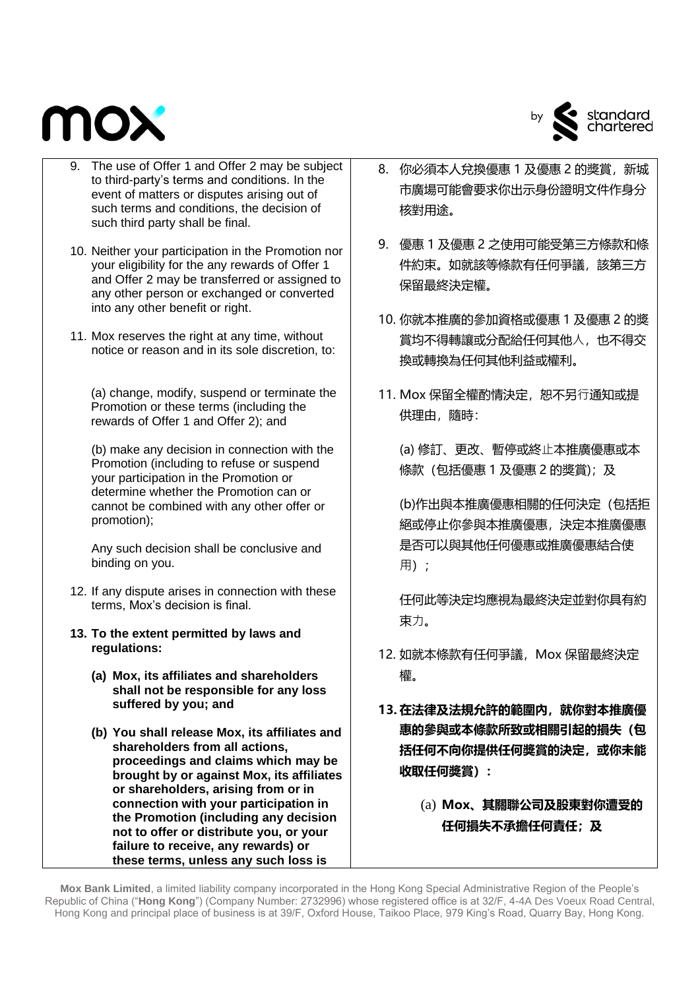



- 9. The use of Offer 1 and Offer 2 may be subject to third-party's terms and conditions. In the event of matters or disputes arising out of such terms and conditions, the decision of such third party shall be final.
- 10. Neither your participation in the Promotion nor your eligibility for the any rewards of Offer 1 and Offer 2 may be transferred or assigned to any other person or exchanged or converted into any other benefit or right.
- 11. Mox reserves the right at any time, without notice or reason and in its sole discretion, to:

(a) change, modify, suspend or terminate the Promotion or these terms (including the rewards of Offer 1 and Offer 2); and

(b) make any decision in connection with the Promotion (including to refuse or suspend your participation in the Promotion or determine whether the Promotion can or cannot be combined with any other offer or promotion);

Any such decision shall be conclusive and binding on you.

- 12. If any dispute arises in connection with these terms, Mox's decision is final.
- **13. To the extent permitted by laws and regulations:**
	- **(a) Mox, its affiliates and shareholders shall not be responsible for any loss suffered by you; and**
	- **(b) You shall release Mox, its affiliates and shareholders from all actions, proceedings and claims which may be brought by or against Mox, its affiliates or shareholders, arising from or in connection with your participation in the Promotion (including any decision not to offer or distribute you, or your failure to receive, any rewards) or these terms, unless any such loss is**
- 8. 你必須本人兌換優惠 1 及優惠 2 的獎賞,新城 市廣場可能會要求你出示身份證明文件作身分 核對用途。
- 9. 優惠 1 及優惠 2 之使用可能受第三方條款和條 件約束。如就該等條款有任何爭議,該第三方 保留最終決定權。
- 10. 你就本推廣的參加資格或優惠 1 及優惠 2 的獎 賞均不得轉讓或分配給任何其他人,也不得交 換或轉換為任何其他利益或權利。
- 11. Mox 保留全權酌情決定, 恕不另行通知或提 供理由,隨時:

(a) 修訂、更改、暫停或終⽌本推廣優惠或本 條款 (包括優惠 1 及優惠 2 的獎賞);及

(b)作出與本推廣優惠相關的任何決定(包括拒 絕或停止你參與本推廣優惠,決定本推廣優惠 是否可以與其他任何優惠或推廣優惠結合使 用):

任何此等決定均應視為最終決定並對你具有約 束力。

- 12. 如就本條款有任何爭議, Mox 保留最終決定 權。
- **13. 在法律及法規允許的範圍內,就你對本推廣優 惠的參與或本條款所致或相關引起的損失(包 括任何不向你提供任何獎賞的決定,或你未能 收取任何獎賞):**
	- (a) **Mox、其關聯公司及股東對你遭受的 任何損失不承擔任何責任;及**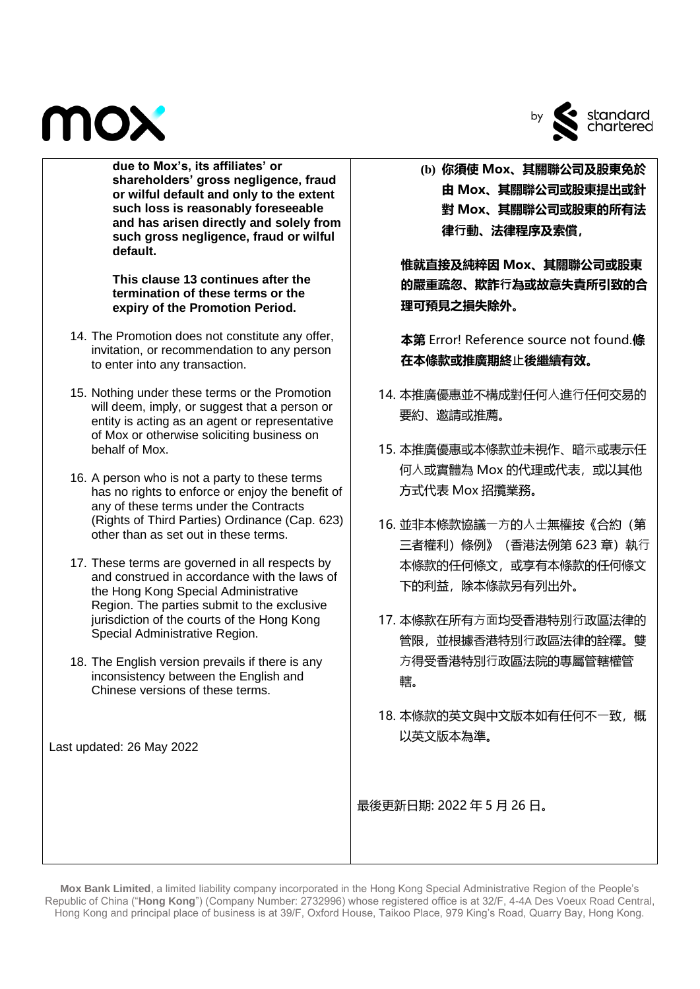



**due to Mox's, its affiliates' or shareholders' gross negligence, fraud or wilful default and only to the extent such loss is reasonably foreseeable and has arisen directly and solely from such gross negligence, fraud or wilful default.** 

**This clause 13 continues after the termination of these terms or the expiry of the Promotion Period.**

- 14. The Promotion does not constitute any offer, invitation, or recommendation to any person to enter into any transaction.
- 15. Nothing under these terms or the Promotion will deem, imply, or suggest that a person or entity is acting as an agent or representative of Mox or otherwise soliciting business on behalf of Mox.
- 16. A person who is not a party to these terms has no rights to enforce or enjoy the benefit of any of these terms under the Contracts (Rights of Third Parties) Ordinance (Cap. 623) other than as set out in these terms.
- 17. These terms are governed in all respects by and construed in accordance with the laws of the Hong Kong Special Administrative Region. The parties submit to the exclusive jurisdiction of the courts of the Hong Kong Special Administrative Region.
- 18. The English version prevails if there is any inconsistency between the English and Chinese versions of these terms.

Last updated: 26 May 2022

**(b) 你須使 Mox、其關聯公司及股東免於 由 Mox、其關聯公司或股東提出或針 對 Mox、其關聯公司或股東的所有法 律⾏動、法律程序及索償,**

**惟就直接及純粹因 Mox、其關聯公司或股東 的嚴重疏忽、欺詐⾏為或故意失責所引致的合 理可預見之損失除外。**

**本第** Error! Reference source not found.**條 在本條款或推廣期終⽌後繼續有效。**

- 14. 本推廣優惠並不構成對任何人進行任何交易的 要約、邀請或推薦。
- 15. 本推廣優惠或本條款並未視作、暗示或表示任 何⼈或實體為 Mox 的代理或代表,或以其他 方式代表 Mox 招攬業務。
- 16. 並非本條款協議一方的人士無權按《合約(第 三者權利)條例》 (香港法例第 623 章)執行 本條款的任何條文,或享有本條款的任何條文 下的利益,除本條款另有列出外。
- 17. 本條款在所有方面均受香港特別行政區法律的 管限,並根據香港特別⾏政區法律的詮釋。雙 方得受香港特別行政區法院的專屬管轄權管 轄。
- 18. 本條款的英文與中文版本如有任何不一致, 概 以英文版本為準。

最後更新日期: 2022 年 5 月 26 日。